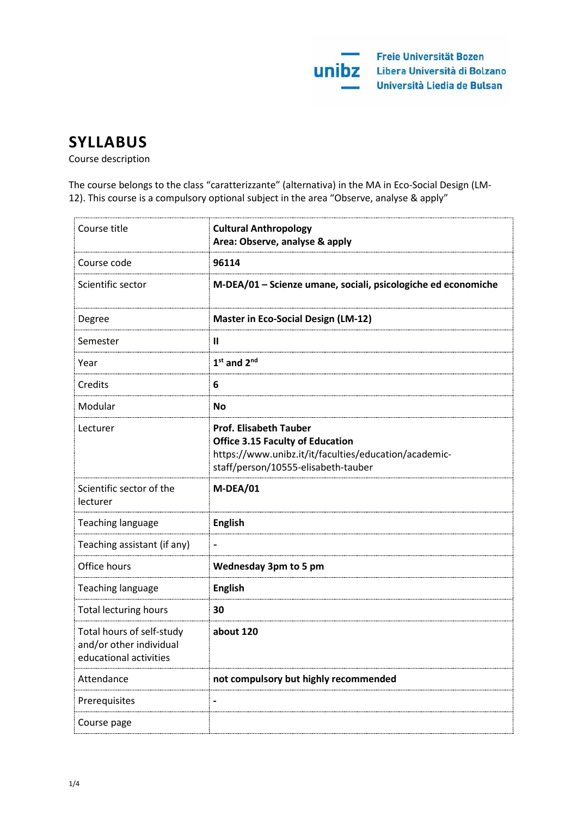

# **SYLLABUS**

Course description

The course belongs to the class "caratterizzante" (alternativa) in the MA in Eco-Social Design (LM-12). This course is a compulsory optional subject in the area "Observe, analyse & apply"

| Course title                                                                   | <b>Cultural Anthropology</b><br>Area: Observe, analyse & apply                                                                                                           |
|--------------------------------------------------------------------------------|--------------------------------------------------------------------------------------------------------------------------------------------------------------------------|
| Course code                                                                    | 96114                                                                                                                                                                    |
| Scientific sector                                                              | M-DEA/01 - Scienze umane, sociali, psicologiche ed economiche                                                                                                            |
| Degree                                                                         | <b>Master in Eco-Social Design (LM-12)</b>                                                                                                                               |
| Semester                                                                       | Ш                                                                                                                                                                        |
| Year                                                                           | $1st$ and $2nd$                                                                                                                                                          |
| Credits                                                                        | 6                                                                                                                                                                        |
| Modular                                                                        | <b>No</b>                                                                                                                                                                |
| Lecturer                                                                       | <b>Prof. Elisabeth Tauber</b><br><b>Office 3.15 Faculty of Education</b><br>https://www.unibz.it/it/faculties/education/academic-<br>staff/person/10555-elisabeth-tauber |
| Scientific sector of the<br>lecturer                                           | M-DEA/01                                                                                                                                                                 |
| <b>Teaching language</b>                                                       | <b>English</b>                                                                                                                                                           |
| Teaching assistant (if any)                                                    | $\qquad \qquad \blacksquare$                                                                                                                                             |
| Office hours                                                                   | <b>Wednesday 3pm to 5 pm</b>                                                                                                                                             |
| Teaching language                                                              | <b>English</b>                                                                                                                                                           |
| <b>Total lecturing hours</b>                                                   | 30                                                                                                                                                                       |
| Total hours of self-study<br>and/or other individual<br>educational activities | about 120                                                                                                                                                                |
| Attendance                                                                     | not compulsory but highly recommended                                                                                                                                    |
| Prerequisites                                                                  |                                                                                                                                                                          |
| Course page                                                                    |                                                                                                                                                                          |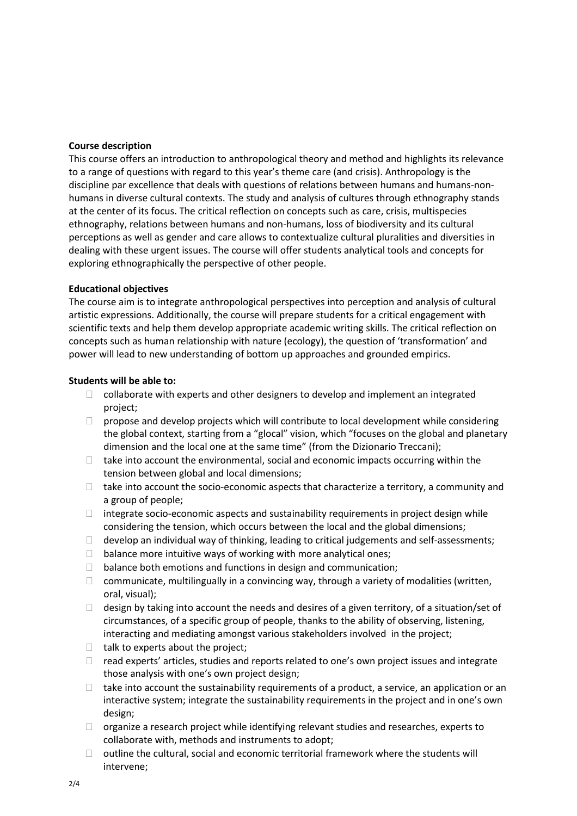### **Course description**

This course offers an introduction to anthropological theory and method and highlights its relevance to a range of questions with regard to this year's theme care (and crisis). Anthropology is the discipline par excellence that deals with questions of relations between humans and humans-nonhumans in diverse cultural contexts. The study and analysis of cultures through ethnography stands at the center of its focus. The critical reflection on concepts such as care, crisis, multispecies ethnography, relations between humans and non-humans, loss of biodiversity and its cultural perceptions as well as gender and care allows to contextualize cultural pluralities and diversities in dealing with these urgent issues. The course will offer students analytical tools and concepts for exploring ethnographically the perspective of other people.

# **Educational objectives**

The course aim is to integrate anthropological perspectives into perception and analysis of cultural artistic expressions. Additionally, the course will prepare students for a critical engagement with scientific texts and help them develop appropriate academic writing skills. The critical reflection on concepts such as human relationship with nature (ecology), the question of 'transformation' and power will lead to new understanding of bottom up approaches and grounded empirics.

# **Students will be able to:**

- $\Box$  collaborate with experts and other designers to develop and implement an integrated project;
- $\Box$  propose and develop projects which will contribute to local development while considering the global context, starting from a "glocal" vision, which "focuses on the global and planetary dimension and the local one at the same time" (from the Dizionario Treccani);
- $\Box$  take into account the environmental, social and economic impacts occurring within the tension between global and local dimensions;
- $\Box$  take into account the socio-economic aspects that characterize a territory, a community and a group of people;
- $\Box$  integrate socio-economic aspects and sustainability requirements in project design while considering the tension, which occurs between the local and the global dimensions;
- $\Box$  develop an individual way of thinking, leading to critical judgements and self-assessments;
- $\Box$  balance more intuitive ways of working with more analytical ones;
- $\Box$  balance both emotions and functions in design and communication;
- $\Box$  communicate, multilingually in a convincing way, through a variety of modalities (written, oral, visual);
- $\Box$  design by taking into account the needs and desires of a given territory, of a situation/set of circumstances, of a specific group of people, thanks to the ability of observing, listening, interacting and mediating amongst various stakeholders involved in the project;
- $\Box$  talk to experts about the project;
- $\Box$  read experts' articles, studies and reports related to one's own project issues and integrate those analysis with one's own project design;
- $\Box$  take into account the sustainability requirements of a product, a service, an application or an interactive system; integrate the sustainability requirements in the project and in one's own design;
- $\Box$  organize a research project while identifying relevant studies and researches, experts to collaborate with, methods and instruments to adopt;
- $\Box$  outline the cultural, social and economic territorial framework where the students will intervene;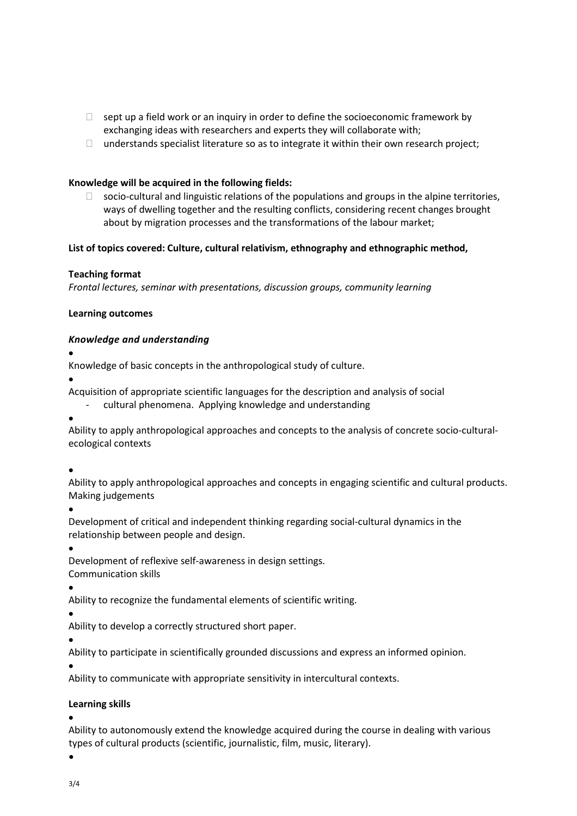- $\Box$  sept up a field work or an inquiry in order to define the socioeconomic framework by exchanging ideas with researchers and experts they will collaborate with;
- $\Box$  understands specialist literature so as to integrate it within their own research project;

#### **Knowledge will be acquired in the following fields:**

 $\Box$  socio-cultural and linguistic relations of the populations and groups in the alpine territories, ways of dwelling together and the resulting conflicts, considering recent changes brought about by migration processes and the transformations of the labour market;

#### **List of topics covered: Culture, cultural relativism, ethnography and ethnographic method,**

#### **Teaching format**

*Frontal lectures, seminar with presentations, discussion groups, community learning*

#### **Learning outcomes**

#### *Knowledge and understanding*

•

Knowledge of basic concepts in the anthropological study of culture.

•

Acquisition of appropriate scientific languages for the description and analysis of social

- cultural phenomena. Applying knowledge and understanding

•

Ability to apply anthropological approaches and concepts to the analysis of concrete socio-culturalecological contexts

•

Ability to apply anthropological approaches and concepts in engaging scientific and cultural products. Making judgements

•

Development of critical and independent thinking regarding social-cultural dynamics in the relationship between people and design.

•

Development of reflexive self-awareness in design settings.

Communication skills

•

Ability to recognize the fundamental elements of scientific writing.

• Ability to develop a correctly structured short paper.

• Ability to participate in scientifically grounded discussions and express an informed opinion.

•

Ability to communicate with appropriate sensitivity in intercultural contexts.

#### **Learning skills**

•

Ability to autonomously extend the knowledge acquired during the course in dealing with various types of cultural products (scientific, journalistic, film, music, literary).

•